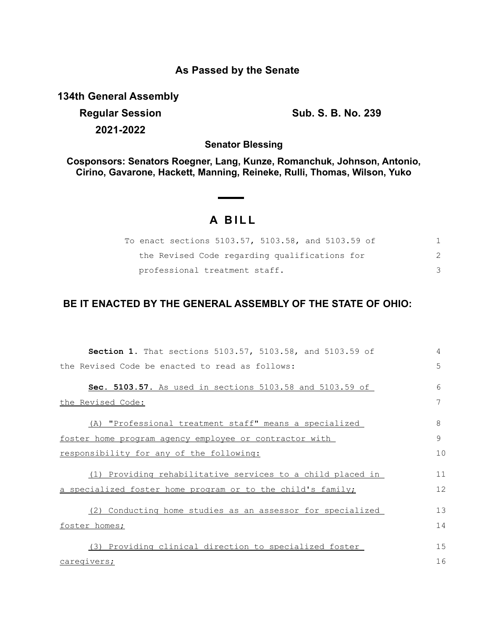## **As Passed by the Senate**

**134th General Assembly**

**Regular Session Sub. S. B. No. 239 2021-2022**

**Senator Blessing**

**Cosponsors: Senators Roegner, Lang, Kunze, Romanchuk, Johnson, Antonio, Cirino, Gavarone, Hackett, Manning, Reineke, Rulli, Thomas, Wilson, Yuko**

## **A B I L L**

| To enact sections 5103.57, 5103.58, and 5103.59 of |  |
|----------------------------------------------------|--|
| the Revised Code regarding qualifications for      |  |
| professional treatment staff.                      |  |

## **BE IT ENACTED BY THE GENERAL ASSEMBLY OF THE STATE OF OHIO:**

| Section 1. That sections 5103.57, 5103.58, and 5103.59 of   | 4  |
|-------------------------------------------------------------|----|
| the Revised Code be enacted to read as follows:             | 5  |
| Sec. 5103.57. As used in sections 5103.58 and 5103.59 of    | 6  |
| the Revised Code:                                           | 7  |
| (A) "Professional treatment staff" means a specialized      | 8  |
| foster home program agency employee or contractor with      | 9  |
| <u>responsibility for any of the following:</u>             | 10 |
| (1) Providing rehabilitative services to a child placed in  | 11 |
| a specialized foster home program or to the child's family; | 12 |
| (2) Conducting home studies as an assessor for specialized  | 13 |
| foster homes;                                               | 14 |
| (3) Providing clinical direction to specialized foster      | 15 |
| caregivers;                                                 | 16 |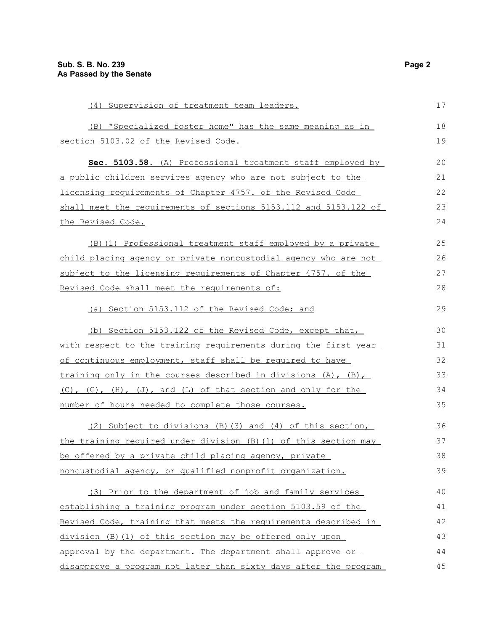| (4) Supervision of treatment team leaders.                       | 17 |
|------------------------------------------------------------------|----|
| (B) "Specialized foster home" has the same meaning as in         | 18 |
| section 5103.02 of the Revised Code.                             | 19 |
| Sec. 5103.58. (A) Professional treatment staff employed by       | 20 |
| a public children services agency who are not subject to the     | 21 |
| licensing requirements of Chapter 4757. of the Revised Code      | 22 |
| shall meet the requirements of sections 5153.112 and 5153.122 of | 23 |
| the Revised Code.                                                | 24 |
| (B)(1) Professional treatment staff employed by a private        | 25 |
| child placing agency or private noncustodial agency who are not  | 26 |
| subject to the licensing requirements of Chapter 4757. of the    | 27 |
| Revised Code shall meet the requirements of:                     | 28 |
| (a) Section 5153.112 of the Revised Code; and                    | 29 |
| (b) Section 5153.122 of the Revised Code, except that,           | 30 |
| with respect to the training requirements during the first year  | 31 |
| of continuous employment, staff shall be required to have        | 32 |
| training only in the courses described in divisions (A), (B),    | 33 |
| (C), (G), (H), (J), and (L) of that section and only for the     | 34 |
| number of hours needed to complete those courses.                | 35 |
| (2) Subject to divisions (B) (3) and (4) of this section,        | 36 |
| the training required under division (B) (1) of this section may | 37 |
| be offered by a private child placing agency, private            | 38 |
| noncustodial agency, or qualified nonprofit organization.        | 39 |
| (3) Prior to the department of job and family services           | 40 |
| establishing a training program under section 5103.59 of the     | 41 |
| Revised Code, training that meets the requirements described in  | 42 |
| division (B) (1) of this section may be offered only upon        | 43 |
| approval by the department. The department shall approve or      | 44 |
| disapprove a program not later than sixty days after the program | 45 |